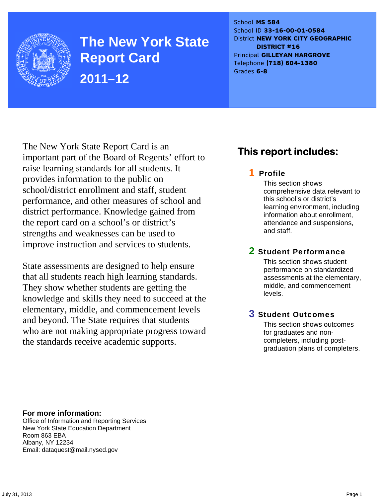

**The New York State Report Card 2011–12** 

School **MS 584** School ID **33-16-00-01-0584** District **NEW YORK CITY GEOGRAPHIC DISTRICT #16** Principal **GILLEYAN HARGROVE** Telephone **(718) 604-1380** Grades **6-8**

The New York State Report Card is an important part of the Board of Regents' effort to raise learning standards for all students. It provides information to the public on school/district enrollment and staff, student performance, and other measures of school and district performance. Knowledge gained from the report card on a school's or district's strengths and weaknesses can be used to improve instruction and services to students.

State assessments are designed to help ensure that all students reach high learning standards. They show whether students are getting the knowledge and skills they need to succeed at the elementary, middle, and commencement levels and beyond. The State requires that students who are not making appropriate progress toward the standards receive academic supports.

### **This report includes:**

### 1 Profile

This section shows comprehensive data relevant to this school's or district's learning environment, including information about enrollment, attendance and suspensions, and staff.

### 2 Student Performance

This section shows student performance on standardized assessments at the elementary, middle, and commencement levels.

### 3 Student Outcomes

This section shows outcomes for graduates and noncompleters, including postgraduation plans of completers.

**For more information:**  Office of Information and Reporting Services New York State Education Department Room 863 EBA Albany, NY 12234

Email: dataquest@mail.nysed.gov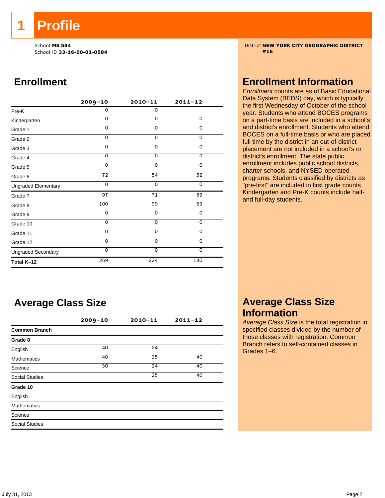**1 Profile** 

School ID **33-16-00-01-0584 #16**

### **Enrollment**

|                            | $2009 - 10$ | $2010 - 11$ | $2011 - 12$    |
|----------------------------|-------------|-------------|----------------|
| Pre-K                      | 0           | $\mathbf 0$ |                |
| Kindergarten               | 0           | $\Omega$    | 0              |
| Grade 1                    | $\Omega$    | $\Omega$    | 0              |
| Grade 2                    | 0           | $\mathbf 0$ | 0              |
| Grade 3                    | $\Omega$    | $\mathbf 0$ | $\mathbf 0$    |
| Grade 4                    | $\Omega$    | $\mathbf 0$ | 0              |
| Grade 5                    | $\Omega$    | $\Omega$    | $\overline{0}$ |
| Grade 6                    | 72          | 54          | 52             |
| <b>Ungraded Elementary</b> | $\Omega$    | $\Omega$    | 0              |
| Grade 7                    | 97          | 71          | 59             |
| Grade 8                    | 100         | 99          | 69             |
| Grade 9                    | 0           | 0           | 0              |
| Grade 10                   | 0           | $\mathbf 0$ | 0              |
| Grade 11                   | $\Omega$    | 0           | 0              |
| Grade 12                   | $\Omega$    | $\mathbf 0$ | 0              |
| <b>Ungraded Secondary</b>  | $\Omega$    | $\mathbf 0$ | $\mathbf 0$    |
| Total K-12                 | 269         | 224         | 180            |

### **Average Class Size**

|                       | $2009 - 10$ | $2010 - 11$ | $2011 - 12$ |  |
|-----------------------|-------------|-------------|-------------|--|
| <b>Common Branch</b>  |             |             |             |  |
| Grade 8               |             |             |             |  |
| English               | 40          | 24          |             |  |
| <b>Mathematics</b>    | 40          | 25          | 40          |  |
| Science               | 30          | 24          | 40          |  |
| <b>Social Studies</b> |             | 25          | 40          |  |
| Grade 10              |             |             |             |  |
| English               |             |             |             |  |
| <b>Mathematics</b>    |             |             |             |  |
| Science               |             |             |             |  |
| <b>Social Studies</b> |             |             |             |  |

School **MS 584** District **NEW YORK CITY GEOGRAPHIC DISTRICT**

### **Enrollment Information**

*Enrollment* counts are as of Basic Educational Data System (BEDS) day, which is typically the first Wednesday of October of the school year. Students who attend BOCES programs on a part-time basis are included in a school's and district's enrollment. Students who attend BOCES on a full-time basis or who are placed full time by the district in an out-of-district placement are not included in a school's or district's enrollment. The state public enrollment includes public school districts, charter schools, and NYSED-operated programs. Students classified by districts as "pre-first" are included in first grade counts. Kindergarten and Pre-K counts include halfand full-day students.

### **Average Class Size Information**

*Average Class Size* is the total registration in specified classes divided by the number of those classes with registration. Common Branch refers to self-contained classes in Grades 1–6.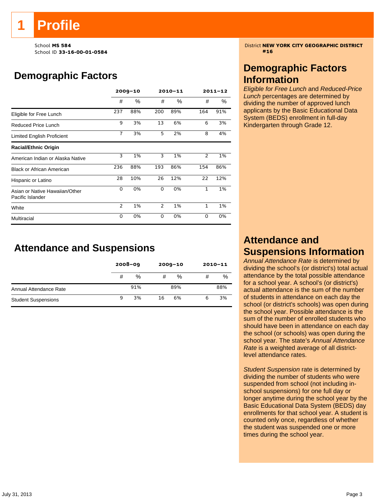School ID **33-16-00-01-0584 #16**

# **Demographic Factors**

|                                                    |                | $2009 - 10$ |                | 2010-11 | $2011 - 12$    |     |  |
|----------------------------------------------------|----------------|-------------|----------------|---------|----------------|-----|--|
|                                                    | #              | ℅           | #              | %       | #              | %   |  |
| Eligible for Free Lunch                            | 237            | 88%         | 200            | 89%     | 164            | 91% |  |
| Reduced Price Lunch                                | 9              | 3%          | 13             | 6%      | 6              | 3%  |  |
| Limited English Proficient                         | $\overline{7}$ | 3%          | 5              | 2%      | 8              | 4%  |  |
| <b>Racial/Ethnic Origin</b>                        |                |             |                |         |                |     |  |
| American Indian or Alaska Native                   | 3              | 1%          | 3              | 1%      | $\overline{2}$ | 1%  |  |
| <b>Black or African American</b>                   | 236            | 88%         | 193            | 86%     | 154            | 86% |  |
| Hispanic or Latino                                 | 28             | 10%         | 26             | 12%     | 22             | 12% |  |
| Asian or Native Hawaiian/Other<br>Pacific Islander | 0              | 0%          | 0              | 0%      | 1              | 1%  |  |
| White                                              | $\overline{2}$ | 1%          | $\overline{2}$ | 1%      | $\mathbf{1}$   | 1%  |  |
| Multiracial                                        | 0              | 0%          | 0              | 0%      | $\Omega$       | 0%  |  |

**Attendance and Suspensions** 

|                            |   | $2008 - 09$ |    | $2009 - 10$ | $2010 - 11$ |     |
|----------------------------|---|-------------|----|-------------|-------------|-----|
|                            | # | %           | #  | %           | #           | %   |
| Annual Attendance Rate     |   | 91%         |    | 89%         |             | 88% |
| <b>Student Suspensions</b> | 9 | 3%          | 16 | 6%          | 6           | 3%  |

School **MS 584** District **NEW YORK CITY GEOGRAPHIC DISTRICT**

### **Demographic Factors Information**

*Eligible for Free Lunch* and *Reduced-Price Lunch* percentages are determined by dividing the number of approved lunch applicants by the Basic Educational Data System (BEDS) enrollment in full-day Kindergarten through Grade 12.

### **Attendance and Suspensions Information**

*Annual Attendance Rate* is determined by dividing the school's (or district's) total actual attendance by the total possible attendance for a school year. A school's (or district's) actual attendance is the sum of the number of students in attendance on each day the school (or district's schools) was open during the school year. Possible attendance is the sum of the number of enrolled students who should have been in attendance on each day the school (or schools) was open during the school year. The state's *Annual Attendance Rate* is a weighted average of all districtlevel attendance rates.

*Student Suspension* rate is determined by dividing the number of students who were suspended from school (not including inschool suspensions) for one full day or longer anytime during the school year by the Basic Educational Data System (BEDS) day enrollments for that school year. A student is counted only once, regardless of whether the student was suspended one or more times during the school year.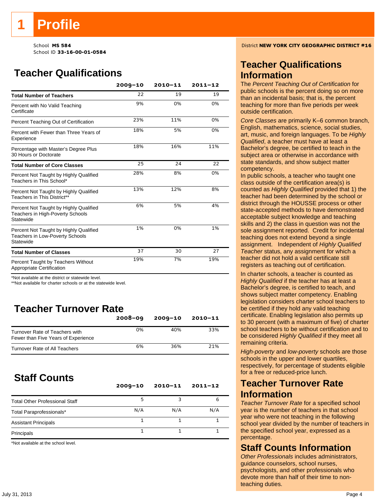# **Teacher Qualifications**

|                                                                                               | $2009 - 10$ | $2010 - 11$ | $2011 - 12$ |
|-----------------------------------------------------------------------------------------------|-------------|-------------|-------------|
| <b>Total Number of Teachers</b>                                                               | 22          | 19          | 19          |
| Percent with No Valid Teaching<br>Certificate                                                 | 9%          | 0%          | 0%          |
| Percent Teaching Out of Certification                                                         | 23%         | 11%         | 0%          |
| Percent with Fewer than Three Years of<br>Experience                                          | 18%         | 5%          | 0%          |
| Percentage with Master's Degree Plus<br>30 Hours or Doctorate                                 | 18%         | 16%         | 11%         |
| <b>Total Number of Core Classes</b>                                                           | 25          | 24          | 22          |
| Percent Not Taught by Highly Qualified<br>Teachers in This School*                            | 28%         | 8%          | 0%          |
| Percent Not Taught by Highly Qualified<br>Teachers in This District**                         | 13%         | 12%         | 8%          |
| Percent Not Taught by Highly Qualified<br>Teachers in High-Poverty Schools<br>Statewide       | 6%          | 5%          | 4%          |
| Percent Not Taught by Highly Qualified<br><b>Teachers in Low-Poverty Schools</b><br>Statewide | 1%          | 0%          | 1%          |
| <b>Total Number of Classes</b>                                                                | 37          | 30          | 27          |
| Percent Taught by Teachers Without<br>Appropriate Certification                               | 19%         | 7%          | 19%         |

\*Not available at the district or statewide level.

\*\*Not available for charter schools or at the statewide level.

## **Teacher Turnover Rate**

|                                                                       | $2008 - 09$ | 2009-10 | 2010-11 |
|-----------------------------------------------------------------------|-------------|---------|---------|
| Turnover Rate of Teachers with<br>Fewer than Five Years of Experience | 0%          | 40%     | 33%     |
| <b>Turnover Rate of All Teachers</b>                                  | 6%          | 36%     | 21%     |

### **Staff Counts**

|                                       | $2009 - 10$ | $2010 - 11$ | $2011 - 12$ |
|---------------------------------------|-------------|-------------|-------------|
| <b>Total Other Professional Staff</b> |             |             | 6           |
| Total Paraprofessionals*              | N/A         | N/A         | N/A         |
| <b>Assistant Principals</b>           |             |             |             |
| Principals                            |             |             |             |

\*Not available at the school level.

School **MS 584** District **NEW YORK CITY GEOGRAPHIC DISTRICT #16**

### **Teacher Qualifications Information**

The *Percent Teaching Out of Certification* for public schools is the percent doing so on more than an incidental basis; that is, the percent teaching for more than five periods per week outside certification.

*Core Classes* are primarily K–6 common branch, English, mathematics, science, social studies, art, music, and foreign languages. To be *Highly Qualified*, a teacher must have at least a Bachelor's degree, be certified to teach in the subject area or otherwise in accordance with state standards, and show subject matter competency.

In public schools, a teacher who taught one class outside of the certification area(s) is counted as *Highly Qualified* provided that 1) the teacher had been determined by the school or district through the HOUSSE process or other state-accepted methods to have demonstrated acceptable subject knowledge and teaching skills and 2) the class in question was not the sole assignment reported. Credit for incidental teaching does not extend beyond a single assignment. Independent of *Highly Qualified Teacher* status, any assignment for which a teacher did not hold a valid certificate still registers as teaching out of certification.

In charter schools, a teacher is counted as *Highly Qualified* if the teacher has at least a Bachelor's degree, is certified to teach, and shows subject matter competency. Enabling legislation considers charter school teachers to be certified if they hold any valid teaching certificate. Enabling legislation also permits up to 30 percent (with a maximum of five) of charter school teachers to be without certification and to be considered *Highly Qualified* if they meet all remaining criteria.

*High-poverty* and *low-poverty* schools are those schools in the upper and lower quartiles, respectively, for percentage of students eligible for a free or reduced-price lunch.

### **Teacher Turnover Rate Information**

*Teacher Turnover Rate* for a specified school year is the number of teachers in that school year who were not teaching in the following school year divided by the number of teachers in the specified school year, expressed as a percentage.

### **Staff Counts Information**

*Other Professionals* includes administrators, guidance counselors, school nurses, psychologists, and other professionals who devote more than half of their time to nonteaching duties.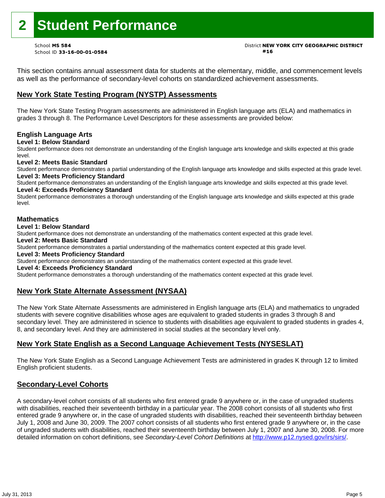# **2 Student Performance**

School ID **33-16-00-01-0584 #16**

# School **MS 584** District **NEW YORK CITY GEOGRAPHIC DISTRICT**

This section contains annual assessment data for students at the elementary, middle, and commencement levels as well as the performance of secondary-level cohorts on standardized achievement assessments.

### **New York State Testing Program (NYSTP) Assessments**

The New York State Testing Program assessments are administered in English language arts (ELA) and mathematics in grades 3 through 8. The Performance Level Descriptors for these assessments are provided below:

#### **English Language Arts**

**Level 1: Below Standard** 

Student performance does not demonstrate an understanding of the English language arts knowledge and skills expected at this grade level.

#### **Level 2: Meets Basic Standard**

Student performance demonstrates a partial understanding of the English language arts knowledge and skills expected at this grade level. **Level 3: Meets Proficiency Standard** 

Student performance demonstrates an understanding of the English language arts knowledge and skills expected at this grade level. **Level 4: Exceeds Proficiency Standard** 

Student performance demonstrates a thorough understanding of the English language arts knowledge and skills expected at this grade level.

#### **Mathematics**

#### **Level 1: Below Standard**

Student performance does not demonstrate an understanding of the mathematics content expected at this grade level.

#### **Level 2: Meets Basic Standard**

Student performance demonstrates a partial understanding of the mathematics content expected at this grade level.

#### **Level 3: Meets Proficiency Standard**

Student performance demonstrates an understanding of the mathematics content expected at this grade level.

#### **Level 4: Exceeds Proficiency Standard**

Student performance demonstrates a thorough understanding of the mathematics content expected at this grade level.

#### **New York State Alternate Assessment (NYSAA)**

The New York State Alternate Assessments are administered in English language arts (ELA) and mathematics to ungraded students with severe cognitive disabilities whose ages are equivalent to graded students in grades 3 through 8 and secondary level. They are administered in science to students with disabilities age equivalent to graded students in grades 4, 8, and secondary level. And they are administered in social studies at the secondary level only.

#### **New York State English as a Second Language Achievement Tests (NYSESLAT)**

The New York State English as a Second Language Achievement Tests are administered in grades K through 12 to limited English proficient students.

#### **Secondary-Level Cohorts**

A secondary-level cohort consists of all students who first entered grade 9 anywhere or, in the case of ungraded students with disabilities, reached their seventeenth birthday in a particular year. The 2008 cohort consists of all students who first entered grade 9 anywhere or, in the case of ungraded students with disabilities, reached their seventeenth birthday between July 1, 2008 and June 30, 2009. The 2007 cohort consists of all students who first entered grade 9 anywhere or, in the case of ungraded students with disabilities, reached their seventeenth birthday between July 1, 2007 and June 30, 2008. For more detailed information on cohort definitions, see *Secondary-Level Cohort Definitions* at http://www.p12.nysed.gov/irs/sirs/.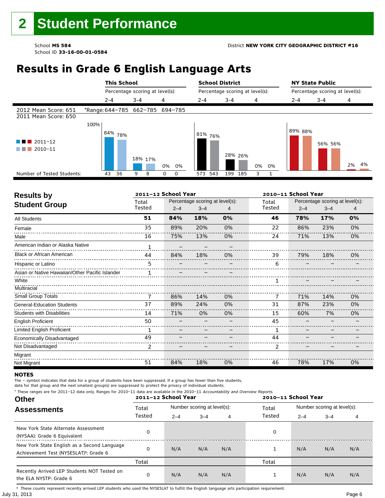# **Results in Grade 6 English Language Arts**

|                                                         |      | <b>This School</b>   |                                 |                  | <b>School District</b> |                                 |          | <b>NY State Public</b> |                                 |          |
|---------------------------------------------------------|------|----------------------|---------------------------------|------------------|------------------------|---------------------------------|----------|------------------------|---------------------------------|----------|
|                                                         |      |                      | Percentage scoring at level(s): |                  |                        | Percentage scoring at level(s): |          |                        | Percentage scoring at level(s): |          |
|                                                         |      | 2-4                  | $3 - 4$                         | 4                | $2 - 4$                | $3 - 4$                         | 4        | $2 - 4$                | $3 - 4$                         | 4        |
| 2012 Mean Score: 651<br>2011 Mean Score: 650            |      |                      | *Range: 644-785 662-785 694-785 |                  |                        |                                 |          |                        |                                 |          |
| $\blacksquare$ 2011-12<br><b>The Company</b><br>2010-11 | 100% | ⊧ <sup>84%</sup> 78% | 18% 17%                         | 0%<br>0%         | 81%<br>76%             | 28% 26%                         | 0%<br>0% | 89% 88%                | 56% 56%                         | 4%<br>2% |
| Number of Tested Students:                              |      | 36<br>43             | 9<br>8                          | 0<br>$\mathbf 0$ | 543<br>573             | 199<br>185                      | ٩<br>1   |                        |                                 |          |

٦

| <b>Results by</b>                               |                | 2011-12 School Year |                                 |    | 2010-11 School Year |         |                                 |    |
|-------------------------------------------------|----------------|---------------------|---------------------------------|----|---------------------|---------|---------------------------------|----|
| <b>Student Group</b>                            | Total          |                     | Percentage scoring at level(s): |    | Total               |         | Percentage scoring at level(s): |    |
|                                                 | Tested         | $2 - 4$             | $3 - 4$                         | 4  | Tested              | $2 - 4$ | $3 - 4$                         | 4  |
| <b>All Students</b>                             | 51             | 84%                 | 18%                             | 0% | 46                  | 78%     | 17%                             | 0% |
| Female                                          | 35             | 89%                 | 20%                             | 0% | 22                  | 86%     | 23%                             | 0% |
| Male                                            | 16             | 75%                 | 13%                             | 0% | 24                  | 71%     | 13%                             | 0% |
| American Indian or Alaska Native                |                |                     |                                 |    |                     |         |                                 |    |
| <b>Black or African American</b>                | 44             | 84%                 | 18%                             | 0% | 39                  | 79%     | 18%                             | 0% |
| Hispanic or Latino                              | 5.<br>.        |                     |                                 |    | 6                   |         |                                 |    |
| Asian or Native Hawaiian/Other Pacific Islander | 1              |                     |                                 |    |                     |         |                                 |    |
| White                                           |                |                     |                                 |    | 1                   |         |                                 |    |
| Multiracial                                     |                |                     |                                 |    |                     |         |                                 |    |
| Small Group Totals                              | 7              | 86%                 | 14%                             | 0% | 7                   | 71%     | 14%                             | 0% |
| <b>General-Education Students</b>               | 37             | 89%                 | 24%                             | 0% | 31                  | 87%     | 23%                             | 0% |
| <b>Students with Disabilities</b>               | 14             | 71%                 | 0%                              | 0% | 15                  | 60%     | 7%                              | 0% |
| <b>English Proficient</b>                       | 50             |                     |                                 |    | 45                  |         |                                 |    |
| <b>Limited English Proficient</b>               | 1              |                     |                                 |    | 1                   |         |                                 |    |
| Economically Disadvantaged                      | 49             |                     |                                 |    | 44                  |         |                                 |    |
| Not Disadvantaged                               | $\overline{2}$ |                     |                                 |    | 2                   |         |                                 |    |
| Migrant                                         |                |                     |                                 |    |                     |         |                                 |    |
| Not Migrant                                     | 51             | 84%                 | 18%                             | 0% | 46                  | 78%     | 17%                             | 0% |

#### **NOTES**

The – symbol indicates that data for a group of students have been suppressed. If a group has fewer than five students,

data for that group and the next smallest group(s) are suppressed to protect the privacy of individual students.

**Other Assessments**  2011-12 School Year Number scoring at level(s): Total Number scoring at level(s): 2–4 3–4 4 2–4 3–4 4 \* These ranges are for 2011–12 data only. Ranges for 2010–11 data are available in the 2010–11 Accountability and Overview Reports. **2011–12 School Year 2010–11 School Year** Total Tested Total Tested New York State Alternate Assessment (NYSAA): Grade 6 Equivalent <sup>0</sup> <sup>0</sup> New York State English as a Second Language Achievement Test (NYSESLAT)†: Grade 6 <sup>0</sup> N/A N/A N/A <sup>1</sup> N/A N/A N/A Total Total Recently Arrived LEP Students NOT Tested on the ELA NYSTP: Grade 6 0 N/A N/A N/A 1 N/A N/A N/A

July 31, 2013 Page 6 † These counts represent recently arrived LEP students who used the NYSESLAT to fulfill the English language arts participation requirement.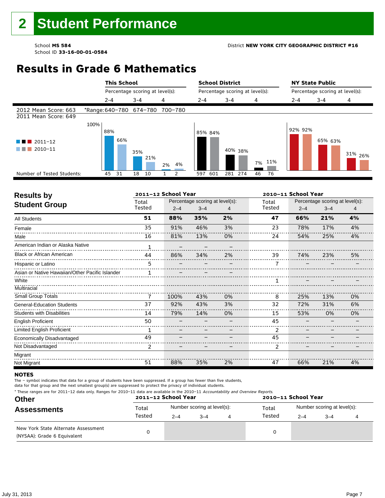# **Results in Grade 6 Mathematics**

|                                              |      | <b>This School</b> |                                 |         | <b>School District</b> |                                 |          |         | <b>NY State Public</b>          |                    |  |
|----------------------------------------------|------|--------------------|---------------------------------|---------|------------------------|---------------------------------|----------|---------|---------------------------------|--------------------|--|
|                                              |      |                    | Percentage scoring at level(s): |         |                        | Percentage scoring at level(s): |          |         | Percentage scoring at level(s): |                    |  |
|                                              |      | $2 - 4$            | $3 - 4$                         | 4       | $2 - 4$                | $3 - 4$                         | 4        | $2 - 4$ | $3 - 4$                         | 4                  |  |
| 2012 Mean Score: 663<br>2011 Mean Score: 649 |      |                    | *Range: 640-780 674-780         | 700-780 |                        |                                 |          |         |                                 |                    |  |
| $\blacksquare$ 2011-12<br>2010-11            | 100% | 88%<br>66%         | 35%<br>21%                      | 2% 4%   | 85% 84%                | 40% 38%                         | 7% 11%   | 92% 92% | 65% 63%                         | 31% <sub>26%</sub> |  |
| Number of Tested Students:                   |      | 45<br>31           | 18<br>10                        | 2       | 601<br>597             | 281 274                         | 76<br>46 |         |                                 |                    |  |
|                                              |      |                    |                                 |         |                        |                                 |          |         |                                 |                    |  |

| <b>Results by</b>                               |              | 2011-12 School Year |                                 |    |        | 2010-11 School Year |                                 |    |
|-------------------------------------------------|--------------|---------------------|---------------------------------|----|--------|---------------------|---------------------------------|----|
| <b>Student Group</b>                            | Total        |                     | Percentage scoring at level(s): |    | Total  |                     | Percentage scoring at level(s): |    |
|                                                 | Tested       | $2 - 4$             | $3 - 4$                         | 4  | Tested | $2 - 4$             | $3 - 4$                         | 4  |
| <b>All Students</b>                             | 51           | 88%                 | 35%                             | 2% | 47     | 66%                 | 21%                             | 4% |
| Female                                          | 35           | 91%                 | 46%                             | 3% | 23     | 78%                 | 17%                             | 4% |
| Male                                            | 16           | 81%                 | 13%                             | 0% | 24     | 54%                 | 25%                             | 4% |
| American Indian or Alaska Native                | $\mathbf{1}$ |                     |                                 |    |        |                     |                                 |    |
| <b>Black or African American</b>                | 44           | 86%                 | 34%                             | 2% | 39     | 74%                 | 23%                             | 5% |
| Hispanic or Latino                              | 5            |                     |                                 |    |        |                     |                                 |    |
| Asian or Native Hawaiian/Other Pacific Islander | 1            |                     |                                 |    |        |                     |                                 |    |
| White                                           |              |                     |                                 |    |        |                     |                                 |    |
| Multiracial                                     |              |                     |                                 |    |        |                     |                                 |    |
| <b>Small Group Totals</b>                       | 7            | 100%                | 43%                             | 0% | 8      | 25%                 | 13%                             | 0% |
| <b>General-Education Students</b>               | 37           | 92%                 | 43%                             | 3% | 32     | 72%                 | 31%                             | 6% |
| <b>Students with Disabilities</b>               | 14           | 79%                 | 14%                             | 0% | 15     | 53%                 | 0%                              | 0% |
| <b>English Proficient</b>                       | 50           |                     |                                 |    | 45     |                     |                                 |    |
| Limited English Proficient                      |              |                     |                                 |    | 2      |                     |                                 |    |
| Economically Disadvantaged                      | 49           |                     |                                 |    | 45     |                     |                                 |    |
| Not Disadvantaged                               | 2            |                     |                                 |    | 2      |                     |                                 |    |
| Migrant                                         |              |                     |                                 |    |        |                     |                                 |    |
| Not Migrant                                     | 51           | 88%                 | 35%                             | 2% | 47     | 66%                 | 21%                             | 4% |

#### **NOTES**

The – symbol indicates that data for a group of students have been suppressed. If a group has fewer than five students,

| <b>Other</b><br><b>Assessments</b>                                 |        | * These ranges are for 2011–12 data only. Ranges for 2010–11 data are available in the 2010–11 Accountability and Overview Reports.<br>2011-12 School Year<br>2010-11 School Year |         |  |        |                             |         |  |  |
|--------------------------------------------------------------------|--------|-----------------------------------------------------------------------------------------------------------------------------------------------------------------------------------|---------|--|--------|-----------------------------|---------|--|--|
|                                                                    | Total  | Number scoring at level(s):                                                                                                                                                       |         |  | Total  | Number scoring at level(s): |         |  |  |
|                                                                    | Tested | $2 - 4$                                                                                                                                                                           | $3 - 4$ |  | Tested | $2 - 4$                     | $3 - 4$ |  |  |
| New York State Alternate Assessment<br>(NYSAA): Grade 6 Equivalent |        |                                                                                                                                                                                   |         |  |        |                             |         |  |  |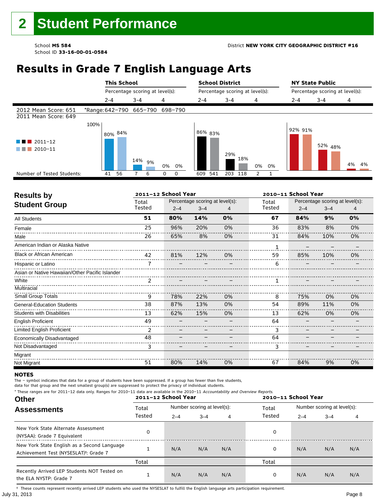# **Results in Grade 7 English Language Arts**

|                                                     |      | <b>This School</b> |                                 |                  | <b>School District</b> |                                 |                    | <b>NY State Public</b> |                                 |       |
|-----------------------------------------------------|------|--------------------|---------------------------------|------------------|------------------------|---------------------------------|--------------------|------------------------|---------------------------------|-------|
|                                                     |      |                    | Percentage scoring at level(s): |                  |                        | Percentage scoring at level(s): |                    |                        | Percentage scoring at level(s): |       |
|                                                     |      | $2 - 4$            | $3 - 4$                         | 4                | $2 - 4$                | $3 - 4$                         | 4                  | $2 - 4$                | $3 - 4$                         | 4     |
| 2012 Mean Score: 651<br>2011 Mean Score: 649        |      |                    | *Range: 642-790 665-790         | 698-790          |                        |                                 |                    |                        |                                 |       |
| $\blacksquare$ 2011-12<br>a sa na<br>2010-11<br>. . | 100% | 80% 84%            |                                 |                  | 86% 83%                | 29%<br>18%                      |                    | 92% 91%                | 52% 48%                         |       |
|                                                     |      |                    | 14%<br>9%                       | 0% 0%            |                        |                                 | 0%<br>0%           |                        |                                 | 4% 4% |
| Number of Tested Students:                          |      | 56<br>41           | 6                               | 0<br>$\mathbf 0$ | 541<br>609             | 203<br>118                      | $\mathcal{P}$<br>1 |                        |                                 |       |

٦

| <b>Results by</b>                               |                | 2011-12 School Year |                                 |    |        | 2010-11 School Year |                                 |    |
|-------------------------------------------------|----------------|---------------------|---------------------------------|----|--------|---------------------|---------------------------------|----|
| <b>Student Group</b>                            | Total          |                     | Percentage scoring at level(s): |    | Total  |                     | Percentage scoring at level(s): |    |
|                                                 | Tested         | $2 - 4$             | $3 - 4$                         |    | Tested | $2 - 4$             | $3 - 4$                         | 4  |
| <b>All Students</b>                             | 51             | 80%                 | 14%                             | 0% | 67     | 84%                 | 9%                              | 0% |
| Female                                          | 25             | 96%                 | 20%                             | 0% | 36     | 83%                 | 8%                              | 0% |
| Male                                            | 26             | 65%                 | 8%                              | 0% | 31     | 84%                 | 10%                             | 0% |
| American Indian or Alaska Native                |                |                     |                                 |    |        |                     |                                 |    |
| <b>Black or African American</b>                | 42             | 81%                 | 12%                             | 0% | 59     | 85%                 | 10%                             | 0% |
| Hispanic or Latino                              |                |                     |                                 |    | 6      |                     |                                 |    |
| Asian or Native Hawaiian/Other Pacific Islander |                |                     |                                 |    |        |                     |                                 |    |
| White                                           | $\overline{2}$ |                     |                                 |    |        |                     |                                 |    |
| Multiracial                                     |                |                     |                                 |    |        |                     |                                 |    |
| Small Group Totals                              | 9              | 78%                 | 22%                             | 0% | 8      | 75%                 | 0%                              | 0% |
| <b>General-Education Students</b>               | 38             | 87%                 | 13%                             | 0% | 54     | 89%                 | 11%                             | 0% |
| <b>Students with Disabilities</b>               | 13             | 62%                 | 15%                             | 0% | 13     | 62%                 | 0%                              | 0% |
| <b>English Proficient</b>                       | 49             |                     |                                 |    | 64     |                     |                                 |    |
| <b>Limited English Proficient</b>               | 2              |                     |                                 |    | 3      |                     |                                 |    |
| Economically Disadvantaged                      | 48             |                     |                                 |    | 64     |                     |                                 |    |
| Not Disadvantaged                               | 3              |                     |                                 |    | 3      |                     |                                 |    |
| Migrant                                         |                |                     |                                 |    |        |                     |                                 |    |
| Not Migrant                                     | 51             | 80%                 | 14%                             | 0% | 67     | 84%                 | 9%                              | 0% |

#### **NOTES**

The – symbol indicates that data for a group of students have been suppressed. If a group has fewer than five students,

data for that group and the next smallest group(s) are suppressed to protect the privacy of individual students.

**Other Assessments**  2011-12 School Year Number scoring at level(s): Total Number scoring at level(s): 2–4 3–4 4 2–4 3–4 4 \* These ranges are for 2011–12 data only. Ranges for 2010–11 data are available in the 2010–11 Accountability and Overview Reports. **2011–12 School Year 2010–11 School Year** Total Tested Total Tested New York State Alternate Assessment (NYSAA): Grade 7 Equivalent <sup>0</sup> <sup>0</sup> New York State English as a Second Language Achievement Test (NYSESLAT)†: Grade 7 <sup>1</sup> N/A N/A N/A <sup>0</sup> N/A N/A N/A Total Total Recently Arrived LEP Students NOT Tested on the ELA NYSTP: Grade 7 1 N/A N/A N/A 0 N/A N/A N/A

July 31, 2013 Page 8 † These counts represent recently arrived LEP students who used the NYSESLAT to fulfill the English language arts participation requirement.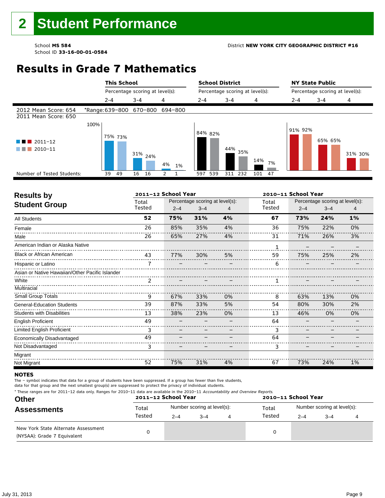# **Results in Grade 7 Mathematics**

|                                              |      | <b>This School</b> |                                 |          | <b>School District</b>          |            |           |                                 | <b>NY State Public</b> |         |
|----------------------------------------------|------|--------------------|---------------------------------|----------|---------------------------------|------------|-----------|---------------------------------|------------------------|---------|
|                                              |      |                    | Percentage scoring at level(s): |          | Percentage scoring at level(s): |            |           | Percentage scoring at level(s): |                        |         |
|                                              |      | $2 - 4$            | $3 - 4$                         | 4        | $2 - 4$                         | $3 - 4$    | 4         | $2 - 4$                         | $3 - 4$                | 4       |
| 2012 Mean Score: 654<br>2011 Mean Score: 650 |      |                    | *Range: 639-800 670-800         | 694-800  |                                 |            |           |                                 |                        |         |
| $2011 - 12$<br>a sa B<br>2010-11             | 100% | 75% 73%            | $31\%$ 24%                      | 4%<br>1% | 84% 82%                         | 44%<br>35% | 14%<br>7% | 91% 92%                         | 65% 65%                | 31% 30% |
| Number of Tested Students:                   |      | 39<br>49           | 16 16                           |          | 539<br>597                      | 232<br>311 | 101<br>47 |                                 |                        |         |
|                                              |      |                    |                                 |          |                                 |            |           |                                 |                        |         |

| <b>Results by</b>                               |                | 2011-12 School Year |                                 |    |        | 2010-11 School Year |                                 |    |
|-------------------------------------------------|----------------|---------------------|---------------------------------|----|--------|---------------------|---------------------------------|----|
| <b>Student Group</b>                            | Total          |                     | Percentage scoring at level(s): |    | Total  |                     | Percentage scoring at level(s): |    |
|                                                 | Tested         | $2 - 4$             | $3 - 4$                         | 4  | Tested | $2 - 4$             | $3 - 4$                         | 4  |
| <b>All Students</b>                             | 52             | 75%                 | 31%                             | 4% | 67     | 73%                 | 24%                             | 1% |
| Female                                          | 26             | 85%                 | 35%                             | 4% | 36     | 75%                 | 22%                             | 0% |
| Male                                            | 26             | 65%                 | 27%                             | 4% | 31     | 71%                 | 26%                             | 3% |
| American Indian or Alaska Native                |                |                     |                                 |    |        |                     |                                 |    |
| <b>Black or African American</b>                | 43             | 77%                 | 30%                             | 5% | 59     | 75%                 | 25%                             | 2% |
| Hispanic or Latino                              |                |                     |                                 |    | 6      |                     |                                 |    |
| Asian or Native Hawaiian/Other Pacific Islander |                |                     |                                 |    |        |                     |                                 |    |
| White                                           | $\overline{2}$ |                     |                                 |    |        |                     |                                 |    |
| Multiracial                                     |                |                     |                                 |    |        |                     |                                 |    |
| <b>Small Group Totals</b>                       | 9              | 67%                 | 33%                             | 0% | 8      | 63%                 | 13%                             | 0% |
| <b>General-Education Students</b>               | 39             | 87%                 | 33%                             | 5% | 54     | 80%                 | 30%                             | 2% |
| <b>Students with Disabilities</b>               | 13             | 38%                 | 23%                             | 0% | 13     | 46%                 | 0%                              | 0% |
| <b>English Proficient</b>                       | 49             |                     |                                 |    | 64     |                     |                                 |    |
| Limited English Proficient                      | 3              |                     |                                 |    | 3      |                     |                                 |    |
| Economically Disadvantaged                      | 49             |                     |                                 |    | 64     |                     |                                 |    |
| Not Disadvantaged                               | 3              |                     |                                 |    | 3      |                     |                                 |    |
| Migrant                                         |                |                     |                                 |    |        |                     |                                 |    |
| Not Migrant                                     | 52             | 75%                 | 31%                             | 4% | 67     | 73%                 | 24%                             | 1% |

#### **NOTES**

The – symbol indicates that data for a group of students have been suppressed. If a group has fewer than five students,

|  |  |  | * These ranges are for 2011-12 data only. Ranges for 2010-11 data are available in the 2010-11 Accountability and Overview Reports. |
|--|--|--|-------------------------------------------------------------------------------------------------------------------------------------|
|--|--|--|-------------------------------------------------------------------------------------------------------------------------------------|

| <b>Other</b><br><b>Assessments</b>                                 |        | 2011-12 School Year         |      |  | 2010-11 School Year |                             |         |  |  |
|--------------------------------------------------------------------|--------|-----------------------------|------|--|---------------------|-----------------------------|---------|--|--|
|                                                                    | Total  | Number scoring at level(s): |      |  | Total               | Number scoring at level(s): |         |  |  |
|                                                                    | Tested | $2 - 4$                     | $-4$ |  | Tested              | $2 - 4$                     | $3 - 4$ |  |  |
| New York State Alternate Assessment<br>(NYSAA): Grade 7 Equivalent |        |                             |      |  | 0                   |                             |         |  |  |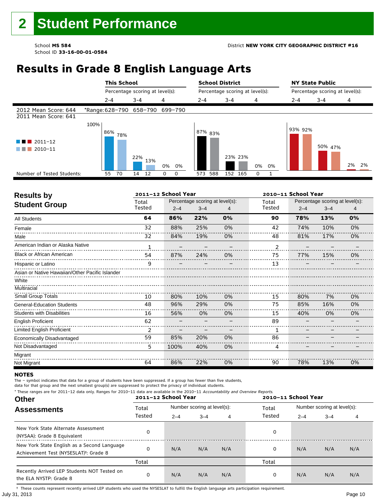# **Results in Grade 8 English Language Arts**

|                                              |      | <b>This School</b> |                                 |                  | <b>School District</b> |                                 |               | <b>NY State Public</b> |                                 |       |
|----------------------------------------------|------|--------------------|---------------------------------|------------------|------------------------|---------------------------------|---------------|------------------------|---------------------------------|-------|
|                                              |      |                    | Percentage scoring at level(s): |                  |                        | Percentage scoring at level(s): |               |                        | Percentage scoring at level(s): |       |
|                                              |      | $2 - 4$            | $3 - 4$                         | $\overline{4}$   | $2 - 4$                | $3 - 4$                         | 4             | $2 - 4$                | $3 - 4$                         | 4     |
| 2012 Mean Score: 644<br>2011 Mean Score: 641 |      |                    | *Range: 628-790 658-790         | 699-790          |                        |                                 |               |                        |                                 |       |
| $\blacksquare$ 2011-12<br>2010-11            | 100% | 86%<br>78%         | 22%<br>13%                      | 0%<br>0%         | 87% 83%                | 23% 23%                         | 0%<br>0%      | 93% 92%                | 50% 47%                         | 2% 2% |
| Number of Tested Students:                   |      | 70<br>55           | 14<br>12                        | 0<br>$\mathbf 0$ | 588<br>573             | 152 165                         | $\Omega$<br>1 |                        |                                 |       |

٦

| <b>Results by</b>                               |        | 2011-12 School Year |                                 |    |        | 2010-11 School Year |                                 |    |
|-------------------------------------------------|--------|---------------------|---------------------------------|----|--------|---------------------|---------------------------------|----|
| <b>Student Group</b>                            | Total  |                     | Percentage scoring at level(s): |    | Total  |                     | Percentage scoring at level(s): |    |
|                                                 | Tested | $2 - 4$             | $3 - 4$                         |    | Tested | $2 - 4$             | $3 - 4$                         | 4  |
| <b>All Students</b>                             | 64     | 86%                 | 22%                             | 0% | 90     | 78%                 | 13%                             | 0% |
| Female                                          | 32     | 88%                 | 25%                             | 0% | 42     | 74%                 | 10%                             | 0% |
| Male                                            | 32     | 84%                 | 19%                             | 0% | 48     | 81%                 | 17%                             | 0% |
| American Indian or Alaska Native                | 1      |                     |                                 |    |        |                     |                                 |    |
| <b>Black or African American</b>                | 54     | 87%                 | 24%                             | 0% | 75     | 77%                 | 15%                             | 0% |
| Hispanic or Latino                              | q      |                     |                                 |    | 13     |                     |                                 |    |
| Asian or Native Hawaiian/Other Pacific Islander |        |                     |                                 |    |        |                     |                                 |    |
| White                                           |        |                     |                                 |    |        |                     |                                 |    |
| Multiracial                                     |        |                     |                                 |    |        |                     |                                 |    |
| Small Group Totals                              | 10     | 80%                 | 10%                             | 0% | 15     | 80%                 | 7%                              | 0% |
| <b>General-Education Students</b>               | 48     | 96%                 | 29%                             | 0% | 75     | 85%                 | 16%                             | 0% |
| <b>Students with Disabilities</b>               | 16     | 56%                 | 0%                              | 0% | 15     | 40%                 | 0%                              | 0% |
| English Proficient                              | 62     |                     |                                 |    | 89     |                     |                                 |    |
| <b>Limited English Proficient</b>               | 2      |                     |                                 |    |        |                     |                                 |    |
| Economically Disadvantaged                      | 59     | 85%                 | 20%                             | 0% | 86     |                     |                                 |    |
| Not Disadvantaged                               | 5      | 100%                | 40%                             | 0% | 4      |                     |                                 |    |
| Migrant                                         |        |                     |                                 |    |        |                     |                                 |    |
| Not Migrant                                     | 64     | 86%                 | 22%                             | 0% | 90     | 78%                 | 13%                             | 0% |

#### **NOTES**

The – symbol indicates that data for a group of students have been suppressed. If a group has fewer than five students,

data for that group and the next smallest group(s) are suppressed to protect the privacy of individual students.

\* These ranges are for 2011–12 data only. Ranges for 2010–11 data are available in the 2010–11 Accountability and Overview Reports.

| <b>Other</b>                                                                                      | 2011-12 School Year |                             |         |     | 2010-11 School Year |                             |         |     |  |
|---------------------------------------------------------------------------------------------------|---------------------|-----------------------------|---------|-----|---------------------|-----------------------------|---------|-----|--|
| <b>Assessments</b>                                                                                | Total               | Number scoring at level(s): |         |     | Total               | Number scoring at level(s): |         |     |  |
|                                                                                                   | Tested              | $2 - 4$                     | $3 - 4$ | 4   | Tested              | $2 - 4$                     | $3 - 4$ | 4   |  |
| New York State Alternate Assessment<br>(NYSAA): Grade 8 Equivalent                                | 0                   |                             |         |     | 0                   |                             |         |     |  |
| New York State English as a Second Language<br>Achievement Test (NYSESLAT) <sup>†</sup> : Grade 8 | 0                   | N/A                         | N/A     | N/A | 0                   | N/A                         | N/A     | N/A |  |
|                                                                                                   | Total               |                             |         |     | Total               |                             |         |     |  |
| Recently Arrived LEP Students NOT Tested on<br>the ELA NYSTP: Grade 8                             | 0                   | N/A                         | N/A     | N/A | 0                   | N/A                         | N/A     | N/A |  |

July 31, 2013 Page 10 † These counts represent recently arrived LEP students who used the NYSESLAT to fulfill the English language arts participation requirement.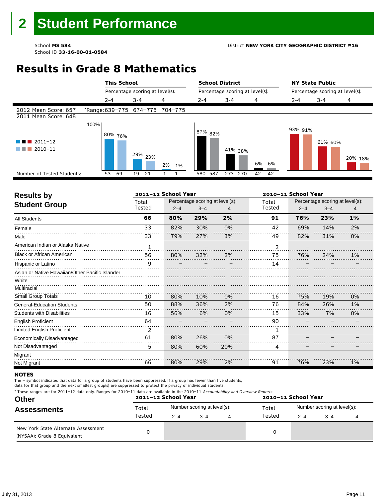# **Results in Grade 8 Mathematics**

|                                              |      | <b>This School</b> |                                 |       | <b>School District</b>          |            |            |                                 | <b>NY State Public</b> |         |
|----------------------------------------------|------|--------------------|---------------------------------|-------|---------------------------------|------------|------------|---------------------------------|------------------------|---------|
|                                              |      |                    | Percentage scoring at level(s): |       | Percentage scoring at level(s): |            |            | Percentage scoring at level(s): |                        |         |
|                                              |      | $2 - 4$            | $3 - 4$                         | 4     | $2 - 4$                         | $3 - 4$    | 4          | 2-4                             | $3 - 4$                | 4       |
| 2012 Mean Score: 657<br>2011 Mean Score: 648 |      |                    | *Range: 639-775 674-775 704-775 |       |                                 |            |            |                                 |                        |         |
| 2011-12<br>2010-11                           | 100% | 80% 76%            | 29% 23%                         | 2% 1% | 87% 82%                         | 41% 38%    | 6%<br>6%   | 93% 91%                         | 61% 60%                | 20% 18% |
| Number of Tested Students:                   |      | 69<br>53           | 19<br>21                        |       | 587<br>580                      | 270<br>273 | - 42<br>42 |                                 |                        |         |
|                                              |      |                    |                                 |       |                                 |            |            |                                 |                        |         |

| <b>Results by</b>                               |              | 2011-12 School Year |                                 |     |                | 2010-11 School Year |                                 |       |
|-------------------------------------------------|--------------|---------------------|---------------------------------|-----|----------------|---------------------|---------------------------------|-------|
| <b>Student Group</b>                            | Total        |                     | Percentage scoring at level(s): |     | Total          |                     | Percentage scoring at level(s): |       |
|                                                 | Tested       | $2 - 4$             | $3 - 4$                         |     | Tested         | $2 - 4$             | $3 - 4$                         | 4     |
| <b>All Students</b>                             | 66           | 80%                 | 29%                             | 2%  | 91             | 76%                 | 23%                             | $1\%$ |
| Female                                          | 33           | 82%                 | 30%                             | 0%  | 42             | 69%                 | 14%                             | 2%    |
| Male                                            | 33           | 79%                 | 27%                             | 3%  | 49             | 82%                 | 31%                             | 0%    |
| American Indian or Alaska Native                | $\mathbf{1}$ |                     |                                 |     | $\overline{c}$ |                     |                                 |       |
| <b>Black or African American</b>                | 56           | 80%                 | 32%                             | 2%  | 75             | 76%                 | 24%                             | 1%    |
| Hispanic or Latino                              | 9            |                     |                                 |     | 14             |                     |                                 |       |
| Asian or Native Hawaiian/Other Pacific Islander |              |                     |                                 |     |                |                     |                                 |       |
| White                                           |              |                     |                                 |     |                |                     |                                 |       |
| Multiracial                                     |              |                     |                                 |     |                |                     |                                 |       |
| <b>Small Group Totals</b>                       | 10           | 80%                 | 10%                             | 0%  | 16             | 75%                 | 19%                             | 0%    |
| <b>General-Education Students</b>               | 50           | 88%                 | 36%                             | 2%  | 76             | 84%                 | 26%                             | 1%    |
| <b>Students with Disabilities</b>               | 16           | 56%                 | 6%                              | 0%  | 15             | 33%                 | 7%                              | 0%    |
| <b>English Proficient</b>                       | 64           |                     |                                 |     | 90             |                     |                                 |       |
| <b>Limited English Proficient</b>               | 2            |                     |                                 |     | 1              |                     |                                 |       |
| Economically Disadvantaged                      | 61           | 80%                 | 26%                             | 0%  | 87             |                     |                                 |       |
| Not Disadvantaged                               | 5            | 80%                 | 60%                             | 20% | 4              |                     |                                 |       |
| Migrant                                         |              |                     |                                 |     |                |                     |                                 |       |
| Not Migrant                                     | 66           | 80%                 | 29%                             | 2%  | 91             | 76%                 | 23%                             | 1%    |

#### **NOTES**

The – symbol indicates that data for a group of students have been suppressed. If a group has fewer than five students,

| <b>Other</b><br><b>Assessments</b>                                 | * These ranges are for 2011–12 data only. Ranges for 2010–11 data are available in the 2010–11 Accountability and Overview Reports.<br>2011-12 School Year<br>2010-11 School Year |         |                             |   |        |                             |         |  |  |
|--------------------------------------------------------------------|-----------------------------------------------------------------------------------------------------------------------------------------------------------------------------------|---------|-----------------------------|---|--------|-----------------------------|---------|--|--|
|                                                                    | Total                                                                                                                                                                             |         | Number scoring at level(s): |   | Total  | Number scoring at level(s): |         |  |  |
|                                                                    | Tested                                                                                                                                                                            | $2 - 4$ | $-4$                        | 4 | Tested | $2 - 4$                     | $3 - 4$ |  |  |
| New York State Alternate Assessment<br>(NYSAA): Grade 8 Equivalent |                                                                                                                                                                                   |         |                             |   |        |                             |         |  |  |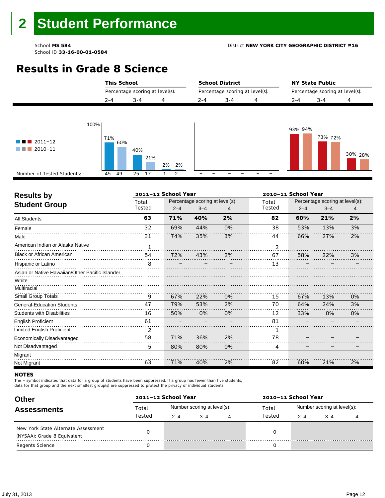School **MS 584** District **NEW YORK CITY GEOGRAPHIC DISTRICT #16** 

School ID **33-16-00-01-0584**

# **Results in Grade 8 Science**

|                                                                                                       | <b>This School</b>     |                                 |                            |         | <b>School District</b>          |   | <b>NY State Public</b>          |         |         |  |  |  |
|-------------------------------------------------------------------------------------------------------|------------------------|---------------------------------|----------------------------|---------|---------------------------------|---|---------------------------------|---------|---------|--|--|--|
|                                                                                                       |                        | Percentage scoring at level(s): |                            |         | Percentage scoring at level(s): |   | Percentage scoring at level(s): |         |         |  |  |  |
|                                                                                                       | $2 - 4$                | $3 - 4$                         | 4                          | $2 - 4$ | $3 - 4$                         | 4 | $2 - 4$                         | $3 - 4$ | 4       |  |  |  |
| 100%<br>$\blacksquare$ $\blacksquare$ 2011-12<br>$\blacksquare$ 2010-11<br>Number of Tested Students: | 71%<br>60%<br>49<br>45 | 40%<br>21%<br>17<br>25          | 2%<br>2%<br>$\overline{2}$ |         |                                 |   | 93% 94%                         | 73% 72% | 30% 28% |  |  |  |

| <b>Results by</b>                               |              | 2011-12 School Year |                                 | 2010-11 School Year |        |                                 |         |    |  |
|-------------------------------------------------|--------------|---------------------|---------------------------------|---------------------|--------|---------------------------------|---------|----|--|
| <b>Student Group</b>                            | Total        |                     | Percentage scoring at level(s): |                     | Total  | Percentage scoring at level(s): |         |    |  |
|                                                 | Tested       | $2 - 4$             | $3 - 4$                         | 4                   | Tested | $2 - 4$                         | $3 - 4$ | 4  |  |
| <b>All Students</b>                             | 63           | 71%                 | 40%                             | 2%                  | 82     | 60%                             | 21%     | 2% |  |
| Female                                          | 32           | 69%                 | 44%                             | 0%                  | 38     | 53%                             | 13%     | 3% |  |
| Male                                            | 31           | 74%                 | 35%                             | 3%                  | 44     | 66%                             | 27%     | 2% |  |
| American Indian or Alaska Native                | $\mathbf{1}$ |                     |                                 |                     | 2      |                                 |         |    |  |
| <b>Black or African American</b>                | 54           | 72%                 | 43%                             | 2%                  | 67     | 58%                             | 22%     | 3% |  |
| Hispanic or Latino                              | 8            |                     |                                 |                     | 13     |                                 |         |    |  |
| Asian or Native Hawaiian/Other Pacific Islander |              |                     |                                 |                     |        |                                 |         |    |  |
| White                                           |              |                     |                                 |                     |        |                                 |         |    |  |
| Multiracial                                     |              |                     |                                 |                     |        |                                 |         |    |  |
| <b>Small Group Totals</b>                       | 9            | 67%                 | 22%                             | 0%                  | 15     | 67%                             | 13%     | 0% |  |
| <b>General-Education Students</b>               | 47           | 79%                 | 53%                             | 2%                  | 70     | 64%                             | 24%     | 3% |  |
| <b>Students with Disabilities</b>               | 16           | 50%                 | 0%                              | 0%                  | 12     | 33%                             | 0%      | 0% |  |
| <b>English Proficient</b>                       | 61           |                     |                                 |                     | 81     |                                 |         |    |  |
| Limited English Proficient                      | 2            |                     |                                 |                     | 1      |                                 |         |    |  |
| Economically Disadvantaged                      | 58           | 71%                 | 36%                             | 2%                  | 78     |                                 |         |    |  |
| Not Disadvantaged                               | 5            | 80%                 | 80%                             | 0%                  | 4      |                                 |         |    |  |
| Migrant                                         |              |                     |                                 |                     |        |                                 |         |    |  |
| Not Migrant                                     | 63           | 71%                 | 40%                             | 2%                  | 82     | 60%                             | 21%     | 2% |  |

#### **NOTES**

The – symbol indicates that data for a group of students have been suppressed. If a group has fewer than five students,

| <b>Other</b>                                                       |        | 2011-12 School Year |                             |   | 2010-11 School Year |                             |         |  |  |  |  |
|--------------------------------------------------------------------|--------|---------------------|-----------------------------|---|---------------------|-----------------------------|---------|--|--|--|--|
| <b>Assessments</b>                                                 | Total  |                     | Number scoring at level(s): |   | Total               | Number scoring at level(s): |         |  |  |  |  |
|                                                                    | Tested | $2 - 4$             | $-4$                        | 4 | Tested              | $2 - 4$                     | $3 - 4$ |  |  |  |  |
| New York State Alternate Assessment<br>(NYSAA): Grade 8 Equivalent |        |                     |                             |   |                     |                             |         |  |  |  |  |
| <b>Regents Science</b>                                             |        |                     |                             |   |                     |                             |         |  |  |  |  |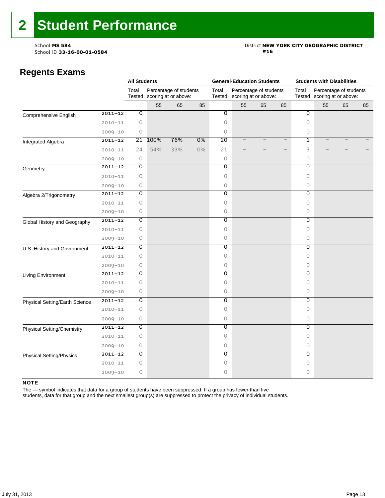# School **MS 584**<br>School ID **33-16-00-01-0584** District **NEW YORK CITY GEOGRAPHIC DISTRICT**<br>#16

### **Regents Exams**

|                                       |             | <b>All Students</b>       |      |                                                       |    |                           | <b>General-Education Students</b> |                                                |    | <b>Students with Disabilities</b> |                                                       |    |    |  |
|---------------------------------------|-------------|---------------------------|------|-------------------------------------------------------|----|---------------------------|-----------------------------------|------------------------------------------------|----|-----------------------------------|-------------------------------------------------------|----|----|--|
|                                       |             | Total                     |      | Percentage of students<br>Tested scoring at or above: |    | Total<br>Tested           |                                   | Percentage of students<br>scoring at or above: |    |                                   | Percentage of students<br>Tested scoring at or above: |    |    |  |
|                                       |             |                           | 55   | 65                                                    | 85 |                           | 55                                | 65                                             | 85 |                                   | 55                                                    | 65 | 85 |  |
| Comprehensive English                 | $2011 - 12$ | $\overline{\mathfrak{o}}$ |      |                                                       |    | $\overline{\mathfrak{o}}$ |                                   |                                                |    | $\overline{\mathfrak{o}}$         |                                                       |    |    |  |
|                                       | $2010 - 11$ | $\circ$                   |      |                                                       |    | 0                         |                                   |                                                |    | 0                                 |                                                       |    |    |  |
|                                       | $2009 - 10$ | 0                         |      |                                                       |    | 0                         |                                   |                                                |    | 0                                 |                                                       |    |    |  |
| Integrated Algebra                    | $2011 - 12$ | 21                        | 100% | 76%                                                   | 0% | 20                        |                                   |                                                | —  | 1                                 |                                                       |    |    |  |
|                                       | $2010 - 11$ | 24                        | 54%  | 33%                                                   | 0% | 21                        |                                   |                                                |    | 3                                 |                                                       |    |    |  |
|                                       | $2009 - 10$ | $\circ$                   |      |                                                       |    | $\circ$                   |                                   |                                                |    | 0                                 |                                                       |    |    |  |
| Geometry                              | $2011 - 12$ | 0                         |      |                                                       |    | 0                         |                                   |                                                |    | Ō                                 |                                                       |    |    |  |
|                                       | $2010 - 11$ | $\circ$                   |      |                                                       |    | $\circ$                   |                                   |                                                |    | 0                                 |                                                       |    |    |  |
|                                       | $2009 - 10$ | $\circ$                   |      |                                                       |    | 0                         |                                   |                                                |    | $\circ$                           |                                                       |    |    |  |
| Algebra 2/Trigonometry                | $2011 - 12$ | 0                         |      |                                                       |    | 0                         |                                   |                                                |    | 0                                 |                                                       |    |    |  |
|                                       | $2010 - 11$ | $\circ$                   |      |                                                       |    | $\circ$                   |                                   |                                                |    | 0                                 |                                                       |    |    |  |
|                                       | $2009 - 10$ | $\circ$                   |      |                                                       |    | $\circ$                   |                                   |                                                |    | 0                                 |                                                       |    |    |  |
| Global History and Geography          | $2011 - 12$ | 0                         |      |                                                       |    | $\overline{0}$            |                                   |                                                |    | $\overline{0}$                    |                                                       |    |    |  |
|                                       | $2010 - 11$ | 0                         |      |                                                       |    | $\circ$                   |                                   |                                                |    | 0                                 |                                                       |    |    |  |
|                                       | $2009 - 10$ | 0                         |      |                                                       |    | $\circ$                   |                                   |                                                |    | 0                                 |                                                       |    |    |  |
| U.S. History and Government           | $2011 - 12$ | $\overline{0}$            |      |                                                       |    | $\overline{0}$            |                                   |                                                |    | $\overline{0}$                    |                                                       |    |    |  |
|                                       | $2010 - 11$ | $\circ$                   |      |                                                       |    | $\circ$                   |                                   |                                                |    | 0                                 |                                                       |    |    |  |
|                                       | $2009 - 10$ | $\circ$                   |      |                                                       |    | $\circ$                   |                                   |                                                |    | 0                                 |                                                       |    |    |  |
| Living Environment                    | $2011 - 12$ | $\overline{0}$            |      |                                                       |    | $\overline{0}$            |                                   |                                                |    | $\overline{0}$                    |                                                       |    |    |  |
|                                       | $2010 - 11$ | $\circ$                   |      |                                                       |    | $\Omega$                  |                                   |                                                |    | 0                                 |                                                       |    |    |  |
|                                       | $2009 - 10$ | 0                         |      |                                                       |    | $\circ$                   |                                   |                                                |    | 0                                 |                                                       |    |    |  |
| <b>Physical Setting/Earth Science</b> | $2011 - 12$ | 0                         |      |                                                       |    | 0                         |                                   |                                                |    | 0                                 |                                                       |    |    |  |
|                                       | $2010 - 11$ | $\circ$                   |      |                                                       |    | $\circ$                   |                                   |                                                |    | 0                                 |                                                       |    |    |  |
|                                       | $2009 - 10$ | $\circ$                   |      |                                                       |    | $\circ$                   |                                   |                                                |    | 0                                 |                                                       |    |    |  |
| Physical Setting/Chemistry            | $2011 - 12$ | 0                         |      |                                                       |    | 0                         |                                   |                                                |    | Ō                                 |                                                       |    |    |  |
|                                       | $2010 - 11$ | 0                         |      |                                                       |    | 0                         |                                   |                                                |    | 0                                 |                                                       |    |    |  |
|                                       | $2009 - 10$ | 0                         |      |                                                       |    | 0                         |                                   |                                                |    | 0                                 |                                                       |    |    |  |
| <b>Physical Setting/Physics</b>       | $2011 - 12$ | $\overline{0}$            |      |                                                       |    | $\overline{0}$            |                                   |                                                |    | $\overline{0}$                    |                                                       |    |    |  |
|                                       | $2010 - 11$ | $\circ$                   |      |                                                       |    | $\circ$                   |                                   |                                                |    | 0                                 |                                                       |    |    |  |
|                                       | $2009 - 10$ | $\circ$                   |      |                                                       |    | $\Omega$                  |                                   |                                                |    | 0                                 |                                                       |    |    |  |

#### NOTE

The — symbol indicates that data for a group of students have been suppressed. If a group has fewer than five